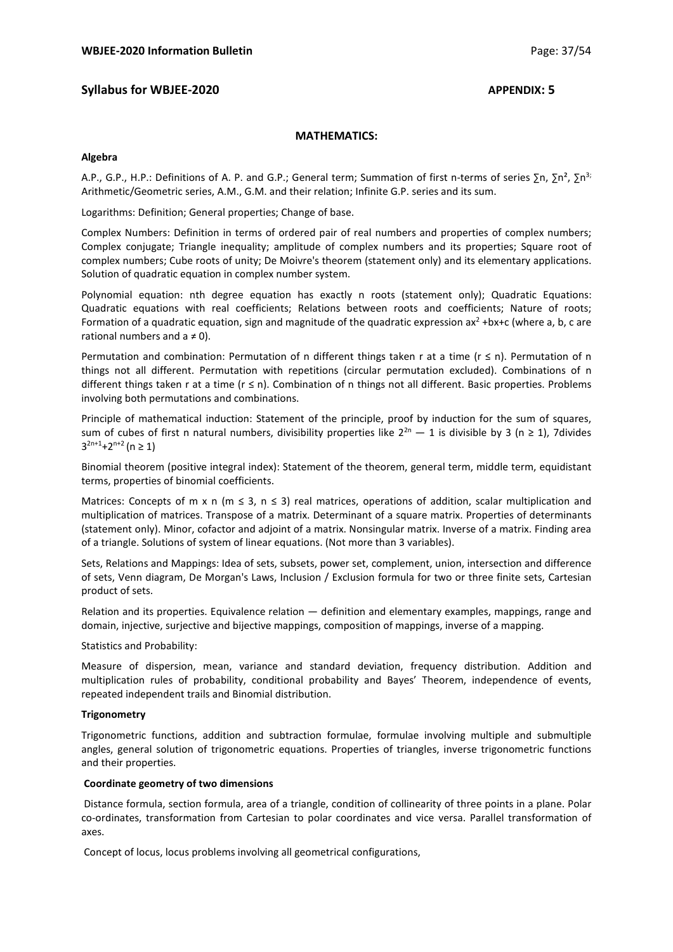# **Syllabus for WBJEE-2020 APPENDIX: 5**

# **MATHEMATICS:**

#### **Algebra**

A.P., G.P., H.P.: Definitions of A. P. and G.P.; General term; Summation of first n-terms of series ∑n, ∑n<sup>2</sup>, ∑n<sup>3;</sup> Arithmetic/Geometric series, A.M., G.M. and their relation; Infinite G.P. series and its sum.

Logarithms: Definition; General properties; Change of base.

Complex Numbers: Definition in terms of ordered pair of real numbers and properties of complex numbers; Complex conjugate; Triangle inequality; amplitude of complex numbers and its properties; Square root of complex numbers; Cube roots of unity; De Moivre's theorem (statement only) and its elementary applications. Solution of quadratic equation in complex number system.

Polynomial equation: nth degree equation has exactly n roots (statement only); Quadratic Equations: Quadratic equations with real coefficients; Relations between roots and coefficients; Nature of roots; Formation of a quadratic equation, sign and magnitude of the quadratic expression ax<sup>2</sup> +bx+c (where a, b, c are rational numbers and  $a \ne 0$ ).

Permutation and combination: Permutation of n different things taken r at a time ( $r \le n$ ). Permutation of n things not all different. Permutation with repetitions (circular permutation excluded). Combinations of n different things taken r at a time (r ≤ n). Combination of n things not all different. Basic properties. Problems involving both permutations and combinations.

Principle of mathematical induction: Statement of the principle, proof by induction for the sum of squares, sum of cubes of first n natural numbers, divisibility properties like  $2^{2n} - 1$  is divisible by 3 (n ≥ 1), 7divides  $3^{2n+1}+2^{n+2}$  (n  $\geq 1$ )

Binomial theorem (positive integral index): Statement of the theorem, general term, middle term, equidistant terms, properties of binomial coefficients.

Matrices: Concepts of m x n (m  $\leq$  3, n  $\leq$  3) real matrices, operations of addition, scalar multiplication and multiplication of matrices. Transpose of a matrix. Determinant of a square matrix. Properties of determinants (statement only). Minor, cofactor and adjoint of a matrix. Nonsingular matrix. Inverse of a matrix. Finding area of a triangle. Solutions of system of linear equations. (Not more than 3 variables).

Sets, Relations and Mappings: Idea of sets, subsets, power set, complement, union, intersection and difference of sets, Venn diagram, De Morgan's Laws, Inclusion / Exclusion formula for two or three finite sets, Cartesian product of sets.

Relation and its properties. Equivalence relation — definition and elementary examples, mappings, range and domain, injective, surjective and bijective mappings, composition of mappings, inverse of a mapping.

Statistics and Probability:

Measure of dispersion, mean, variance and standard deviation, frequency distribution. Addition and multiplication rules of probability, conditional probability and Bayes' Theorem, independence of events, repeated independent trails and Binomial distribution.

## **Trigonometry**

Trigonometric functions, addition and subtraction formulae, formulae involving multiple and submultiple angles, general solution of trigonometric equations. Properties of triangles, inverse trigonometric functions and their properties.

## **Coordinate geometry of two dimensions**

 Distance formula, section formula, area of a triangle, condition of collinearity of three points in a plane. Polar co-ordinates, transformation from Cartesian to polar coordinates and vice versa. Parallel transformation of axes.

Concept of locus, locus problems involving all geometrical configurations,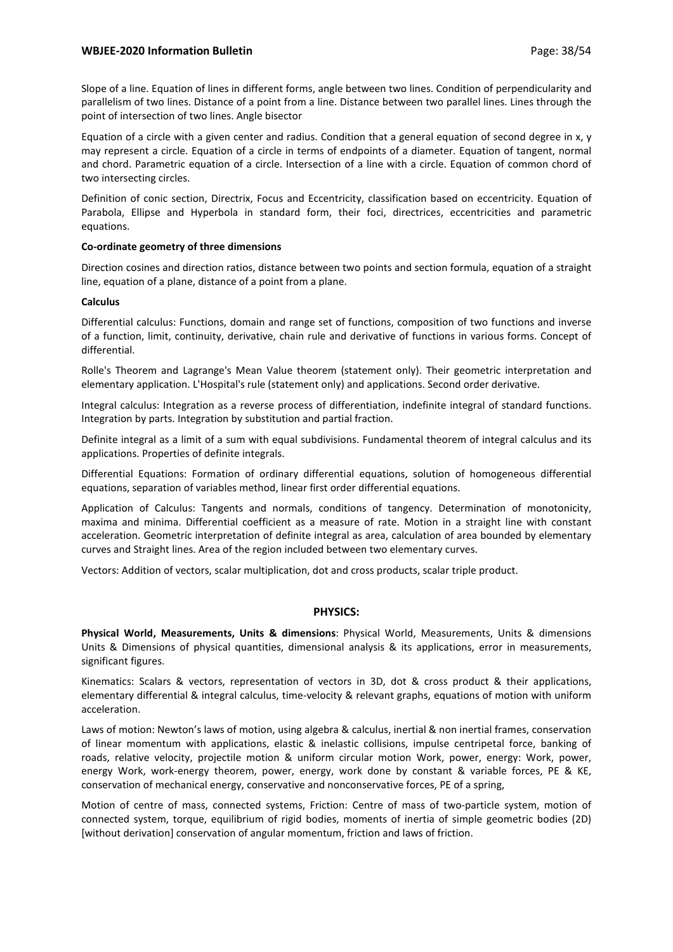# **WBJEE-2020 Information Bulletin Page: 38/54** Page: 38/54

Slope of a line. Equation of lines in different forms, angle between two lines. Condition of perpendicularity and parallelism of two lines. Distance of a point from a line. Distance between two parallel lines. Lines through the point of intersection of two lines. Angle bisector

Equation of a circle with a given center and radius. Condition that a general equation of second degree in x, y may represent a circle. Equation of a circle in terms of endpoints of a diameter. Equation of tangent, normal and chord. Parametric equation of a circle. Intersection of a line with a circle. Equation of common chord of two intersecting circles.

Definition of conic section, Directrix, Focus and Eccentricity, classification based on eccentricity. Equation of Parabola, Ellipse and Hyperbola in standard form, their foci, directrices, eccentricities and parametric equations.

## **Co-ordinate geometry of three dimensions**

Direction cosines and direction ratios, distance between two points and section formula, equation of a straight line, equation of a plane, distance of a point from a plane.

#### **Calculus**

Differential calculus: Functions, domain and range set of functions, composition of two functions and inverse of a function, limit, continuity, derivative, chain rule and derivative of functions in various forms. Concept of differential.

Rolle's Theorem and Lagrange's Mean Value theorem (statement only). Their geometric interpretation and elementary application. L'Hospital's rule (statement only) and applications. Second order derivative.

Integral calculus: Integration as a reverse process of differentiation, indefinite integral of standard functions. Integration by parts. Integration by substitution and partial fraction.

Definite integral as a limit of a sum with equal subdivisions. Fundamental theorem of integral calculus and its applications. Properties of definite integrals.

Differential Equations: Formation of ordinary differential equations, solution of homogeneous differential equations, separation of variables method, linear first order differential equations.

Application of Calculus: Tangents and normals, conditions of tangency. Determination of monotonicity, maxima and minima. Differential coefficient as a measure of rate. Motion in a straight line with constant acceleration. Geometric interpretation of definite integral as area, calculation of area bounded by elementary curves and Straight lines. Area of the region included between two elementary curves.

Vectors: Addition of vectors, scalar multiplication, dot and cross products, scalar triple product.

## **PHYSICS:**

**Physical World, Measurements, Units & dimensions**: Physical World, Measurements, Units & dimensions Units & Dimensions of physical quantities, dimensional analysis & its applications, error in measurements, significant figures.

Kinematics: Scalars & vectors, representation of vectors in 3D, dot & cross product & their applications, elementary differential & integral calculus, time-velocity & relevant graphs, equations of motion with uniform acceleration.

Laws of motion: Newton's laws of motion, using algebra & calculus, inertial & non inertial frames, conservation of linear momentum with applications, elastic & inelastic collisions, impulse centripetal force, banking of roads, relative velocity, projectile motion & uniform circular motion Work, power, energy: Work, power, energy Work, work-energy theorem, power, energy, work done by constant & variable forces, PE & KE, conservation of mechanical energy, conservative and nonconservative forces, PE of a spring,

Motion of centre of mass, connected systems, Friction: Centre of mass of two-particle system, motion of connected system, torque, equilibrium of rigid bodies, moments of inertia of simple geometric bodies (2D) [without derivation] conservation of angular momentum, friction and laws of friction.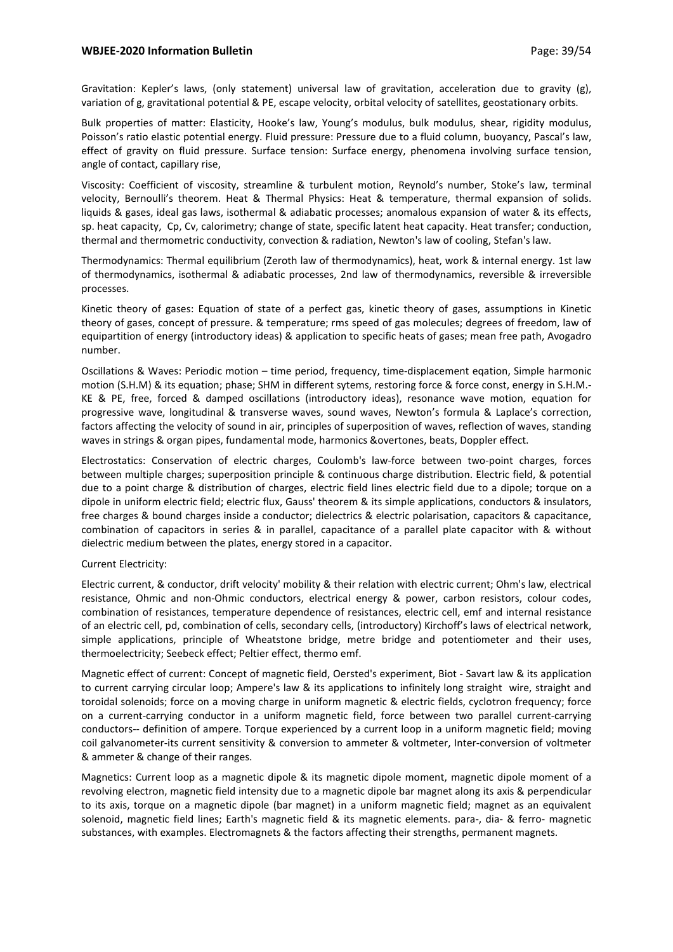## **WBJEE-2020 Information Bulletin Page: 39/54** Page: 39/54

Gravitation: Kepler's laws, (only statement) universal law of gravitation, acceleration due to gravity (g), variation of g, gravitational potential & PE, escape velocity, orbital velocity of satellites, geostationary orbits.

Bulk properties of matter: Elasticity, Hooke's law, Young's modulus, bulk modulus, shear, rigidity modulus, Poisson's ratio elastic potential energy. Fluid pressure: Pressure due to a fluid column, buoyancy, Pascal's law, effect of gravity on fluid pressure. Surface tension: Surface energy, phenomena involving surface tension, angle of contact, capillary rise,

Viscosity: Coefficient of viscosity, streamline & turbulent motion, Reynold's number, Stoke's law, terminal velocity, Bernoulli's theorem. Heat & Thermal Physics: Heat & temperature, thermal expansion of solids. liquids & gases, ideal gas laws, isothermal & adiabatic processes; anomalous expansion of water & its effects, sp. heat capacity, Cp, Cv, calorimetry; change of state, specific latent heat capacity. Heat transfer; conduction, thermal and thermometric conductivity, convection & radiation, Newton's law of cooling, Stefan's law.

Thermodynamics: Thermal equilibrium (Zeroth law of thermodynamics), heat, work & internal energy. 1st law of thermodynamics, isothermal & adiabatic processes, 2nd law of thermodynamics, reversible & irreversible processes.

Kinetic theory of gases: Equation of state of a perfect gas, kinetic theory of gases, assumptions in Kinetic theory of gases, concept of pressure. & temperature; rms speed of gas molecules; degrees of freedom, law of equipartition of energy (introductory ideas) & application to specific heats of gases; mean free path, Avogadro number.

Oscillations & Waves: Periodic motion – time period, frequency, time-displacement eqation, Simple harmonic motion (S.H.M) & its equation; phase; SHM in different sytems, restoring force & force const, energy in S.H.M.- KE & PE, free, forced & damped oscillations (introductory ideas), resonance wave motion, equation for progressive wave, longitudinal & transverse waves, sound waves, Newton's formula & Laplace's correction, factors affecting the velocity of sound in air, principles of superposition of waves, reflection of waves, standing waves in strings & organ pipes, fundamental mode, harmonics &overtones, beats, Doppler effect.

Electrostatics: Conservation of electric charges, Coulomb's law-force between two-point charges, forces between multiple charges; superposition principle & continuous charge distribution. Electric field, & potential due to a point charge & distribution of charges, electric field lines electric field due to a dipole; torque on a dipole in uniform electric field; electric flux, Gauss' theorem & its simple applications, conductors & insulators, free charges & bound charges inside a conductor; dielectrics & electric polarisation, capacitors & capacitance, combination of capacitors in series & in parallel, capacitance of a parallel plate capacitor with & without dielectric medium between the plates, energy stored in a capacitor.

## Current Electricity:

Electric current, & conductor, drift velocity' mobility & their relation with electric current; Ohm's law, electrical resistance, Ohmic and non-Ohmic conductors, electrical energy & power, carbon resistors, colour codes, combination of resistances, temperature dependence of resistances, electric cell, emf and internal resistance of an electric cell, pd, combination of cells, secondary cells, (introductory) Kirchoff's laws of electrical network, simple applications, principle of Wheatstone bridge, metre bridge and potentiometer and their uses, thermoelectricity; Seebeck effect; Peltier effect, thermo emf.

Magnetic effect of current: Concept of magnetic field, Oersted's experiment, Biot - Savart law & its application to current carrying circular loop; Ampere's law & its applications to infinitely long straight wire, straight and toroidal solenoids; force on a moving charge in uniform magnetic & electric fields, cyclotron frequency; force on a current-carrying conductor in a uniform magnetic field, force between two parallel current-carrying conductors-- definition of ampere. Torque experienced by a current loop in a uniform magnetic field; moving coil galvanometer-its current sensitivity & conversion to ammeter & voltmeter, Inter-conversion of voltmeter & ammeter & change of their ranges.

Magnetics: Current loop as a magnetic dipole & its magnetic dipole moment, magnetic dipole moment of a revolving electron, magnetic field intensity due to a magnetic dipole bar magnet along its axis & perpendicular to its axis, torque on a magnetic dipole (bar magnet) in a uniform magnetic field; magnet as an equivalent solenoid, magnetic field lines; Earth's magnetic field & its magnetic elements. para-, dia- & ferro- magnetic substances, with examples. Electromagnets & the factors affecting their strengths, permanent magnets.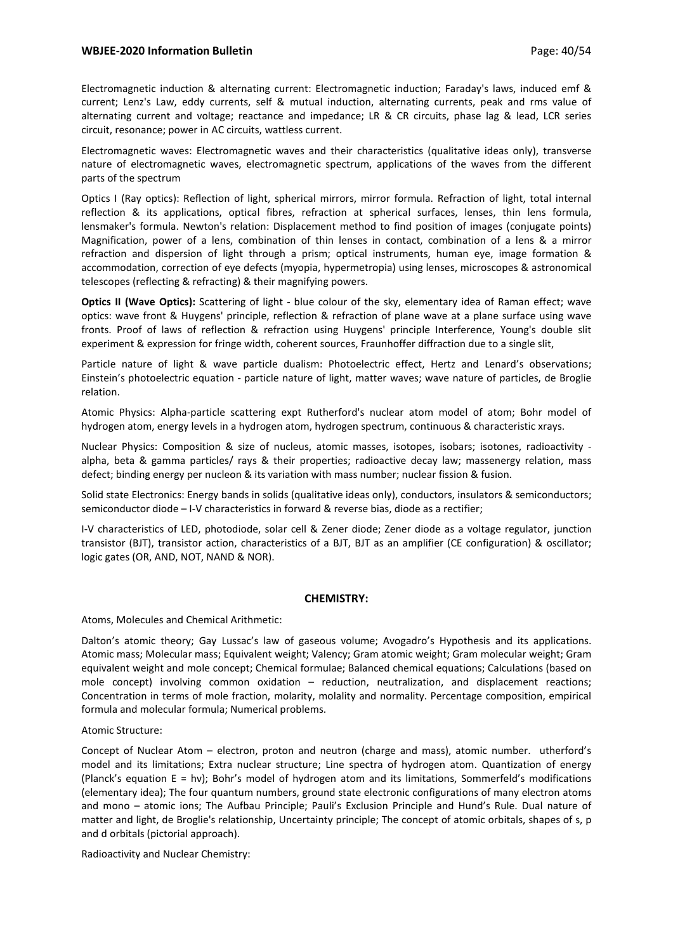# **WBJEE-2020 Information Bulletin Page: 40/54** Page: 40/54

Electromagnetic induction & alternating current: Electromagnetic induction; Faraday's laws, induced emf & current; Lenz's Law, eddy currents, self & mutual induction, alternating currents, peak and rms value of alternating current and voltage; reactance and impedance; LR & CR circuits, phase lag & lead, LCR series circuit, resonance; power in AC circuits, wattless current.

Electromagnetic waves: Electromagnetic waves and their characteristics (qualitative ideas only), transverse nature of electromagnetic waves, electromagnetic spectrum, applications of the waves from the different parts of the spectrum

Optics I (Ray optics): Reflection of light, spherical mirrors, mirror formula. Refraction of light, total internal reflection & its applications, optical fibres, refraction at spherical surfaces, lenses, thin lens formula, lensmaker's formula. Newton's relation: Displacement method to find position of images (conjugate points) Magnification, power of a lens, combination of thin lenses in contact, combination of a lens & a mirror refraction and dispersion of light through a prism; optical instruments, human eye, image formation & accommodation, correction of eye defects (myopia, hypermetropia) using lenses, microscopes & astronomical telescopes (reflecting & refracting) & their magnifying powers.

**Optics II (Wave Optics):** Scattering of light - blue colour of the sky, elementary idea of Raman effect; wave optics: wave front & Huygens' principle, reflection & refraction of plane wave at a plane surface using wave fronts. Proof of laws of reflection & refraction using Huygens' principle Interference, Young's double slit experiment & expression for fringe width, coherent sources, Fraunhoffer diffraction due to a single slit,

Particle nature of light & wave particle dualism: Photoelectric effect, Hertz and Lenard's observations; Einstein's photoelectric equation - particle nature of light, matter waves; wave nature of particles, de Broglie relation.

Atomic Physics: Alpha-particle scattering expt Rutherford's nuclear atom model of atom; Bohr model of hydrogen atom, energy levels in a hydrogen atom, hydrogen spectrum, continuous & characteristic xrays.

Nuclear Physics: Composition & size of nucleus, atomic masses, isotopes, isobars; isotones, radioactivity alpha, beta & gamma particles/ rays & their properties; radioactive decay law; massenergy relation, mass defect; binding energy per nucleon & its variation with mass number; nuclear fission & fusion.

Solid state Electronics: Energy bands in solids (qualitative ideas only), conductors, insulators & semiconductors; semiconductor diode – I-V characteristics in forward & reverse bias, diode as a rectifier;

I-V characteristics of LED, photodiode, solar cell & Zener diode; Zener diode as a voltage regulator, junction transistor (BJT), transistor action, characteristics of a BJT, BJT as an amplifier (CE configuration) & oscillator; logic gates (OR, AND, NOT, NAND & NOR).

## **CHEMISTRY:**

Atoms, Molecules and Chemical Arithmetic:

Dalton's atomic theory; Gay Lussac's law of gaseous volume; Avogadro's Hypothesis and its applications. Atomic mass; Molecular mass; Equivalent weight; Valency; Gram atomic weight; Gram molecular weight; Gram equivalent weight and mole concept; Chemical formulae; Balanced chemical equations; Calculations (based on mole concept) involving common oxidation – reduction, neutralization, and displacement reactions; Concentration in terms of mole fraction, molarity, molality and normality. Percentage composition, empirical formula and molecular formula; Numerical problems.

Atomic Structure:

Concept of Nuclear Atom – electron, proton and neutron (charge and mass), atomic number. utherford's model and its limitations; Extra nuclear structure; Line spectra of hydrogen atom. Quantization of energy (Planck's equation E = hν); Bohr's model of hydrogen atom and its limitations, Sommerfeld's modifications (elementary idea); The four quantum numbers, ground state electronic configurations of many electron atoms and mono – atomic ions; The Aufbau Principle; Pauli's Exclusion Principle and Hund's Rule. Dual nature of matter and light, de Broglie's relationship, Uncertainty principle; The concept of atomic orbitals, shapes of s, p and d orbitals (pictorial approach).

Radioactivity and Nuclear Chemistry: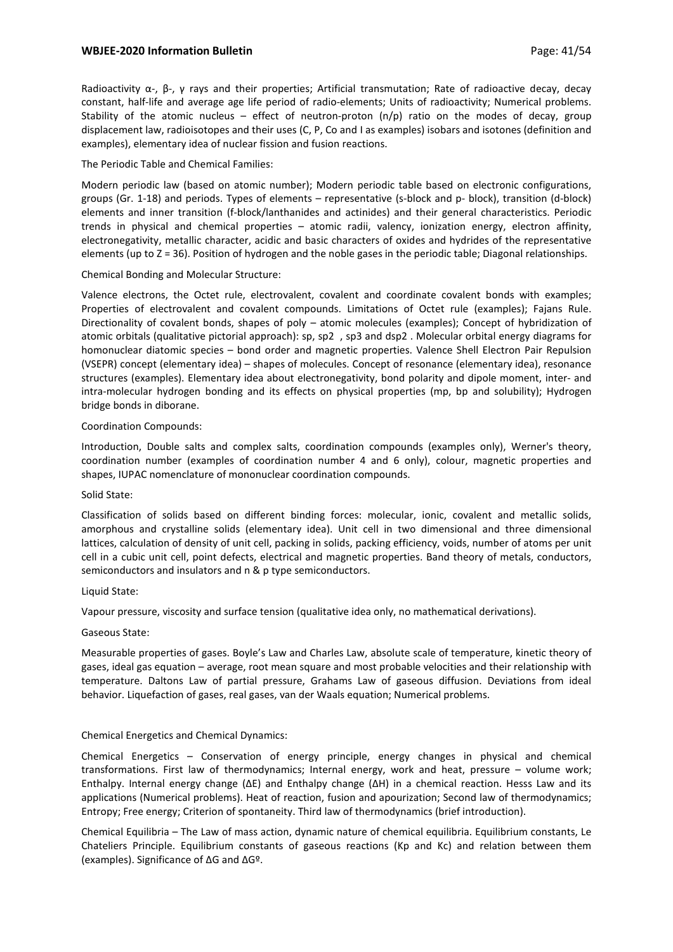# **WBJEE-2020 Information Bulletin Page: 41/54** Page: 41/54

Radioactivity α-, β-, γ rays and their properties; Artificial transmutation; Rate of radioactive decay, decay constant, half-life and average age life period of radio-elements; Units of radioactivity; Numerical problems. Stability of the atomic nucleus – effect of neutron-proton  $(n/p)$  ratio on the modes of decay, group displacement law, radioisotopes and their uses (C, P, Co and I as examples) isobars and isotones (definition and examples), elementary idea of nuclear fission and fusion reactions.

## The Periodic Table and Chemical Families:

Modern periodic law (based on atomic number); Modern periodic table based on electronic configurations, groups (Gr. 1-18) and periods. Types of elements – representative (s-block and p- block), transition (d-block) elements and inner transition (f-block/lanthanides and actinides) and their general characteristics. Periodic trends in physical and chemical properties – atomic radii, valency, ionization energy, electron affinity, electronegativity, metallic character, acidic and basic characters of oxides and hydrides of the representative elements (up to Z = 36). Position of hydrogen and the noble gases in the periodic table; Diagonal relationships.

## Chemical Bonding and Molecular Structure:

Valence electrons, the Octet rule, electrovalent, covalent and coordinate covalent bonds with examples; Properties of electrovalent and covalent compounds. Limitations of Octet rule (examples); Fajans Rule. Directionality of covalent bonds, shapes of poly – atomic molecules (examples); Concept of hybridization of atomic orbitals (qualitative pictorial approach): sp, sp2 , sp3 and dsp2 . Molecular orbital energy diagrams for homonuclear diatomic species – bond order and magnetic properties. Valence Shell Electron Pair Repulsion (VSEPR) concept (elementary idea) – shapes of molecules. Concept of resonance (elementary idea), resonance structures (examples). Elementary idea about electronegativity, bond polarity and dipole moment, inter- and intra-molecular hydrogen bonding and its effects on physical properties (mp, bp and solubility); Hydrogen bridge bonds in diborane.

## Coordination Compounds:

Introduction, Double salts and complex salts, coordination compounds (examples only), Werner's theory, coordination number (examples of coordination number 4 and 6 only), colour, magnetic properties and shapes, IUPAC nomenclature of mononuclear coordination compounds.

## Solid State:

Classification of solids based on different binding forces: molecular, ionic, covalent and metallic solids, amorphous and crystalline solids (elementary idea). Unit cell in two dimensional and three dimensional lattices, calculation of density of unit cell, packing in solids, packing efficiency, voids, number of atoms per unit cell in a cubic unit cell, point defects, electrical and magnetic properties. Band theory of metals, conductors, semiconductors and insulators and n & p type semiconductors.

## Liquid State:

Vapour pressure, viscosity and surface tension (qualitative idea only, no mathematical derivations).

## Gaseous State:

Measurable properties of gases. Boyle's Law and Charles Law, absolute scale of temperature, kinetic theory of gases, ideal gas equation – average, root mean square and most probable velocities and their relationship with temperature. Daltons Law of partial pressure, Grahams Law of gaseous diffusion. Deviations from ideal behavior. Liquefaction of gases, real gases, van der Waals equation; Numerical problems.

# Chemical Energetics and Chemical Dynamics:

Chemical Energetics – Conservation of energy principle, energy changes in physical and chemical transformations. First law of thermodynamics; Internal energy, work and heat, pressure – volume work; Enthalpy. Internal energy change (ΔE) and Enthalpy change (ΔH) in a chemical reaction. Hesss Law and its applications (Numerical problems). Heat of reaction, fusion and apourization; Second law of thermodynamics; Entropy; Free energy; Criterion of spontaneity. Third law of thermodynamics (brief introduction).

Chemical Equilibria – The Law of mass action, dynamic nature of chemical equilibria. Equilibrium constants, Le Chateliers Principle. Equilibrium constants of gaseous reactions (Kp and Kc) and relation between them (examples). Significance of ΔG and ΔGº.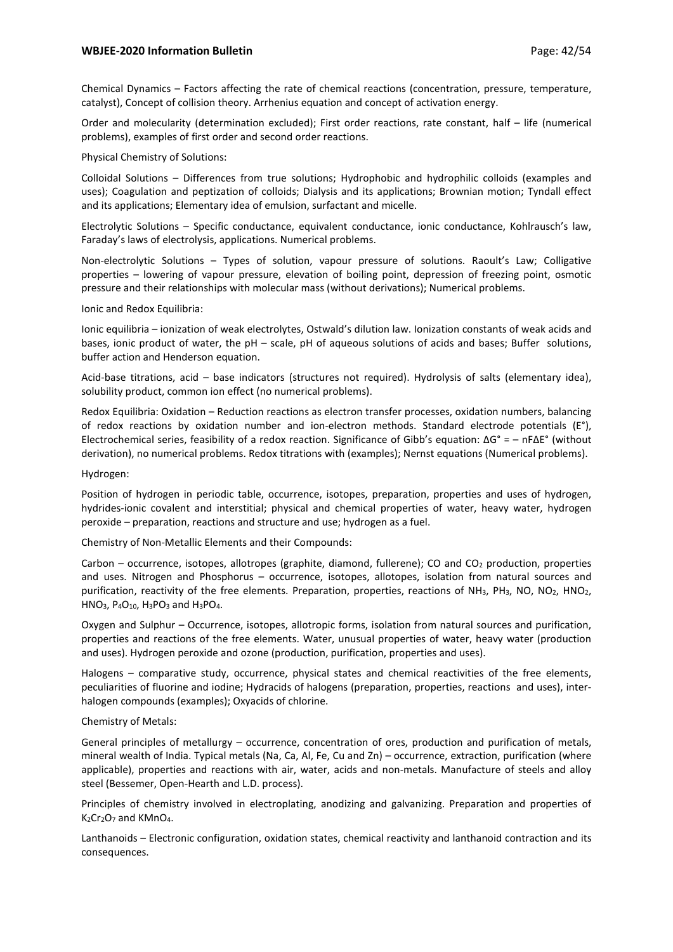## **WBJEE-2020 Information Bulletin Page: 42/54** Page: 42/54

Chemical Dynamics – Factors affecting the rate of chemical reactions (concentration, pressure, temperature, catalyst), Concept of collision theory. Arrhenius equation and concept of activation energy.

Order and molecularity (determination excluded); First order reactions, rate constant, half – life (numerical problems), examples of first order and second order reactions.

#### Physical Chemistry of Solutions:

Colloidal Solutions – Differences from true solutions; Hydrophobic and hydrophilic colloids (examples and uses); Coagulation and peptization of colloids; Dialysis and its applications; Brownian motion; Tyndall effect and its applications; Elementary idea of emulsion, surfactant and micelle.

Electrolytic Solutions – Specific conductance, equivalent conductance, ionic conductance, Kohlrausch's law, Faraday's laws of electrolysis, applications. Numerical problems.

Non-electrolytic Solutions – Types of solution, vapour pressure of solutions. Raoult's Law; Colligative properties – lowering of vapour pressure, elevation of boiling point, depression of freezing point, osmotic pressure and their relationships with molecular mass (without derivations); Numerical problems.

#### Ionic and Redox Equilibria:

Ionic equilibria – ionization of weak electrolytes, Ostwald's dilution law. Ionization constants of weak acids and bases, ionic product of water, the pH – scale, pH of aqueous solutions of acids and bases; Buffer solutions, buffer action and Henderson equation.

Acid-base titrations, acid – base indicators (structures not required). Hydrolysis of salts (elementary idea), solubility product, common ion effect (no numerical problems).

Redox Equilibria: Oxidation – Reduction reactions as electron transfer processes, oxidation numbers, balancing of redox reactions by oxidation number and ion-electron methods. Standard electrode potentials (E°), Electrochemical series, feasibility of a redox reaction. Significance of Gibb's equation: ΔG° = – nFΔE° (without derivation), no numerical problems. Redox titrations with (examples); Nernst equations (Numerical problems).

#### Hydrogen:

Position of hydrogen in periodic table, occurrence, isotopes, preparation, properties and uses of hydrogen, hydrides-ionic covalent and interstitial; physical and chemical properties of water, heavy water, hydrogen peroxide – preparation, reactions and structure and use; hydrogen as a fuel.

Chemistry of Non-Metallic Elements and their Compounds:

Carbon – occurrence, isotopes, allotropes (graphite, diamond, fullerene); CO and CO<sub>2</sub> production, properties and uses. Nitrogen and Phosphorus – occurrence, isotopes, allotopes, isolation from natural sources and purification, reactivity of the free elements. Preparation, properties, reactions of NH<sub>3</sub>, PH<sub>3</sub>, NO, NO<sub>2</sub>, HNO<sub>2</sub>, HNO<sub>3</sub>, P<sub>4</sub>O<sub>10</sub>, H<sub>3</sub>PO<sub>3</sub> and H<sub>3</sub>PO<sub>4</sub>.

Oxygen and Sulphur – Occurrence, isotopes, allotropic forms, isolation from natural sources and purification, properties and reactions of the free elements. Water, unusual properties of water, heavy water (production and uses). Hydrogen peroxide and ozone (production, purification, properties and uses).

Halogens – comparative study, occurrence, physical states and chemical reactivities of the free elements, peculiarities of fluorine and iodine; Hydracids of halogens (preparation, properties, reactions and uses), interhalogen compounds (examples); Oxyacids of chlorine.

## Chemistry of Metals:

General principles of metallurgy – occurrence, concentration of ores, production and purification of metals, mineral wealth of India. Typical metals (Na, Ca, Al, Fe, Cu and Zn) – occurrence, extraction, purification (where applicable), properties and reactions with air, water, acids and non-metals. Manufacture of steels and alloy steel (Bessemer, Open-Hearth and L.D. process).

Principles of chemistry involved in electroplating, anodizing and galvanizing. Preparation and properties of K<sub>2</sub>Cr<sub>2</sub>O<sub>7</sub> and KMnO<sub>4</sub>.

Lanthanoids – Electronic configuration, oxidation states, chemical reactivity and lanthanoid contraction and its consequences.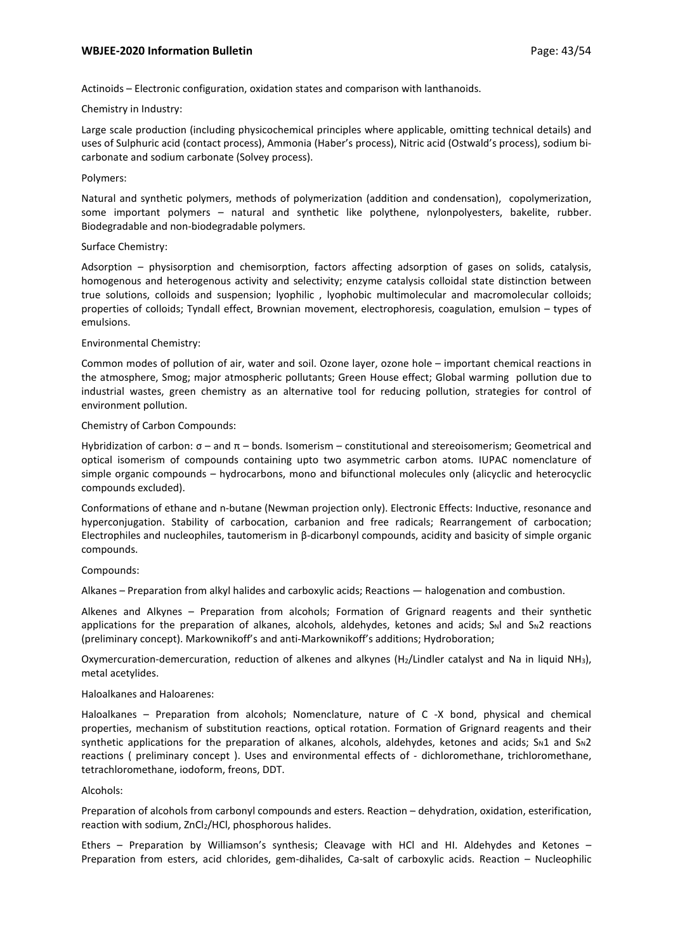# **WBJEE-2020 Information Bulletin Page: 43/54** Page: 43/54

Actinoids – Electronic configuration, oxidation states and comparison with lanthanoids.

## Chemistry in Industry:

Large scale production (including physicochemical principles where applicable, omitting technical details) and uses of Sulphuric acid (contact process), Ammonia (Haber's process), Nitric acid (Ostwald's process), sodium bicarbonate and sodium carbonate (Solvey process).

## Polymers:

Natural and synthetic polymers, methods of polymerization (addition and condensation), copolymerization, some important polymers – natural and synthetic like polythene, nylonpolyesters, bakelite, rubber. Biodegradable and non-biodegradable polymers.

## Surface Chemistry:

Adsorption – physisorption and chemisorption, factors affecting adsorption of gases on solids, catalysis, homogenous and heterogenous activity and selectivity; enzyme catalysis colloidal state distinction between true solutions, colloids and suspension; lyophilic , lyophobic multimolecular and macromolecular colloids; properties of colloids; Tyndall effect, Brownian movement, electrophoresis, coagulation, emulsion – types of emulsions.

## Environmental Chemistry:

Common modes of pollution of air, water and soil. Ozone layer, ozone hole – important chemical reactions in the atmosphere, Smog; major atmospheric pollutants; Green House effect; Global warming pollution due to industrial wastes, green chemistry as an alternative tool for reducing pollution, strategies for control of environment pollution.

## Chemistry of Carbon Compounds:

Hybridization of carbon:  $σ$  – and  $π$  – bonds. Isomerism – constitutional and stereoisomerism; Geometrical and optical isomerism of compounds containing upto two asymmetric carbon atoms. IUPAC nomenclature of simple organic compounds – hydrocarbons, mono and bifunctional molecules only (alicyclic and heterocyclic compounds excluded).

Conformations of ethane and n-butane (Newman projection only). Electronic Effects: Inductive, resonance and hyperconjugation. Stability of carbocation, carbanion and free radicals; Rearrangement of carbocation; Electrophiles and nucleophiles, tautomerism in β-dicarbonyl compounds, acidity and basicity of simple organic compounds.

# Compounds:

Alkanes – Preparation from alkyl halides and carboxylic acids; Reactions — halogenation and combustion.

Alkenes and Alkynes – Preparation from alcohols; Formation of Grignard reagents and their synthetic applications for the preparation of alkanes, alcohols, aldehydes, ketones and acids;  $S_N$ l and  $S_N$ 2 reactions (preliminary concept). Markownikoff's and anti-Markownikoff's additions; Hydroboration;

Oxymercuration-demercuration, reduction of alkenes and alkynes (H2/Lindler catalyst and Na in liquid NH3), metal acetylides.

## Haloalkanes and Haloarenes:

Haloalkanes – Preparation from alcohols; Nomenclature, nature of C -X bond, physical and chemical properties, mechanism of substitution reactions, optical rotation. Formation of Grignard reagents and their synthetic applications for the preparation of alkanes, alcohols, aldehydes, ketones and acids;  $S_N1$  and  $S_N2$ reactions ( preliminary concept ). Uses and environmental effects of - dichloromethane, trichloromethane, tetrachloromethane, iodoform, freons, DDT.

## Alcohols:

Preparation of alcohols from carbonyl compounds and esters. Reaction – dehydration, oxidation, esterification, reaction with sodium, ZnCl2/HCl, phosphorous halides.

Ethers – Preparation by Williamson's synthesis; Cleavage with HCl and HI. Aldehydes and Ketones – Preparation from esters, acid chlorides, gem-dihalides, Ca-salt of carboxylic acids. Reaction – Nucleophilic